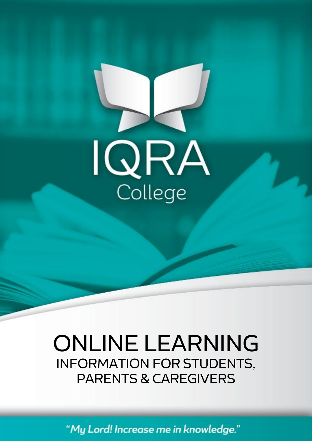

# **ONLINE LEARNING INFORMATION FOR STUDENTS, PARENTS & CAREGIVERS**

"My Lord! Increase me in knowledge."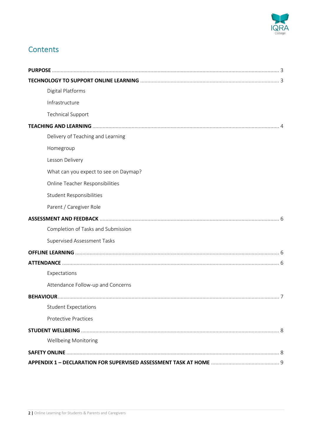

## **Contents**

| Digital Platforms                     |
|---------------------------------------|
| Infrastructure                        |
| <b>Technical Support</b>              |
|                                       |
| Delivery of Teaching and Learning     |
| Homegroup                             |
| Lesson Delivery                       |
| What can you expect to see on Daymap? |
| Online Teacher Responsibilities       |
| <b>Student Responsibilities</b>       |
| Parent / Caregiver Role               |
|                                       |
| Completion of Tasks and Submission    |
| Supervised Assessment Tasks           |
|                                       |
|                                       |
| Expectations                          |
| Attendance Follow-up and Concerns     |
|                                       |
| <b>Student Expectations</b>           |
| <b>Protective Practices</b>           |
|                                       |
| Wellbeing Monitoring                  |
|                                       |
|                                       |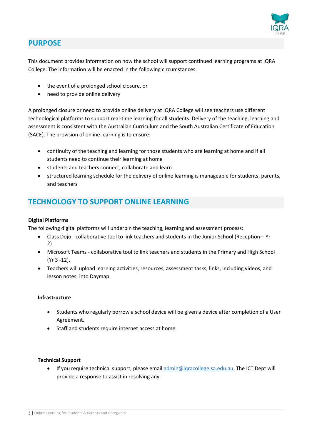

## <span id="page-2-0"></span>**PURPOSE**

This document provides information on how the school will support continued learning programs at IQRA College. The information will be enacted in the following circumstances:

- the event of a prolonged school closure, or
- need to provide online delivery

A prolonged closure or need to provide online delivery at IQRA College will see teachers use different technological platforms to support real-time learning for all students. Delivery of the teaching, learning and assessment is consistent with the Australian Curriculum and the South Australian Certificate of Education (SACE). The provision of online learning is to ensure:

- continuity of the teaching and learning for those students who are learning at home and if all students need to continue their learning at home
- students and teachers connect, collaborate and learn
- structured learning schedule for the delivery of online learning is manageable for students, parents, and teachers

## <span id="page-2-1"></span>**TECHNOLOGY TO SUPPORT ONLINE LEARNING**

#### **Digital Platforms**

The following digital platforms will underpin the teaching, learning and assessment process:

- Class Dojo collaborative tool to link teachers and students in the Junior School (Reception Yr 2)
- Microsoft Teams collaborative tool to link teachers and students in the Primary and High School (Yr 3 -12).
- Teachers will upload learning activities, resources, assessment tasks, links, including videos, and lesson notes, into Daymap.

#### **Infrastructure**

- Students who regularly borrow a school device will be given a device after completion of a User Agreement.
- Staff and students require internet access at home.

#### **Technical Support**

• If you require technical support, please email [admin@iqracollege.sa.edu.au.](mailto:admin@iqracollege.sa.edu.au) The ICT Dept will provide a response to assist in resolving any.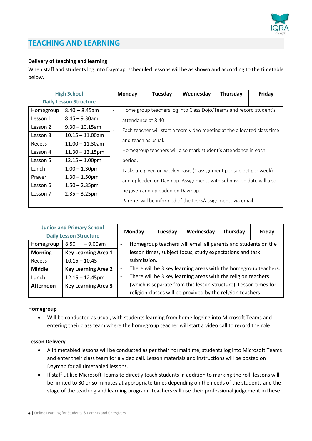

## <span id="page-3-0"></span>**TEACHING AND LEARNING**

#### **Delivery of teaching and learning**

When staff and students log into Daymap, scheduled lessons will be as shown and according to the timetable below.

|                               | <b>High School</b> | Monday                                                                                              | Tuesday                          | Wednesday                                                          | Thursday | Friday |
|-------------------------------|--------------------|-----------------------------------------------------------------------------------------------------|----------------------------------|--------------------------------------------------------------------|----------|--------|
| <b>Daily Lesson Structure</b> |                    |                                                                                                     |                                  |                                                                    |          |        |
| Homegroup                     | $8.40 - 8.45$ am   | $\overline{\phantom{a}}$                                                                            |                                  | Home group teachers log into Class Dojo/Teams and record student's |          |        |
| Lesson 1                      | $8.45 - 9.30$ am   | attendance at 8:40                                                                                  |                                  |                                                                    |          |        |
| Lesson 2                      | $9.30 - 10.15$ am  | Each teacher will start a team video meeting at the allocated class time                            |                                  |                                                                    |          |        |
| Lesson 3                      | $10.15 - 11.00$ am | and teach as usual.                                                                                 |                                  |                                                                    |          |        |
| <b>Recess</b>                 | $11.00 - 11.30$ am |                                                                                                     |                                  |                                                                    |          |        |
| Lesson 4                      | $11.30 - 12.15$ pm | Homegroup teachers will also mark student's attendance in each                                      |                                  |                                                                    |          |        |
| Lesson 5                      | $12.15 - 1.00$ pm  | period.                                                                                             |                                  |                                                                    |          |        |
| Lunch                         | $1.00 - 1.30$ pm   | Tasks are given on weekly basis (1 assignment per subject per week)<br>$\qquad \qquad \blacksquare$ |                                  |                                                                    |          |        |
| Prayer                        | $1.30 - 1.50$ pm   |                                                                                                     |                                  | and uploaded on Daymap. Assignments with submission date will also |          |        |
| Lesson 6                      | $1.50 - 2.35$ pm   |                                                                                                     |                                  |                                                                    |          |        |
| Lesson 7                      | $2.35 - 3.25$ pm   |                                                                                                     | be given and uploaded on Daymap. |                                                                    |          |        |
|                               |                    | $\overline{\phantom{a}}$                                                                            |                                  | Parents will be informed of the tasks/assignments via email.       |          |        |

| <b>Junior and Primary School</b><br><b>Daily Lesson Structure</b> |                            |                                                                                           | Monday | Tuesday | Wednesday                                                       | Thursday | Friday |
|-------------------------------------------------------------------|----------------------------|-------------------------------------------------------------------------------------------|--------|---------|-----------------------------------------------------------------|----------|--------|
| Homegroup                                                         | 8.50<br>$-9.00$ am         | Homegroup teachers will email all parents and students on the<br>$\overline{\phantom{0}}$ |        |         |                                                                 |          |        |
| <b>Morning</b>                                                    | <b>Key Learning Area 1</b> | lesson times, subject focus, study expectations and task                                  |        |         |                                                                 |          |        |
| Recess                                                            | $10.15 - 10.45$            | submission.                                                                               |        |         |                                                                 |          |        |
| <b>Middle</b>                                                     | <b>Key Learning Area 2</b> | -                                                                                         |        |         | There will be 3 key learning areas with the homegroup teachers. |          |        |
| Lunch                                                             | $12.15 - 12.45$ pm         | There will be 3 key learning areas with the religion teachers<br>$\overline{\phantom{a}}$ |        |         |                                                                 |          |        |
| Afternoon                                                         | <b>Key Learning Area 3</b> | (which is separate from this lesson structure). Lesson times for                          |        |         |                                                                 |          |        |
|                                                                   |                            | religion classes will be provided by the religion teachers.                               |        |         |                                                                 |          |        |

#### **Homegroup**

• Will be conducted as usual, with students learning from home logging into Microsoft Teams and entering their class team where the homegroup teacher will start a video call to record the role.

#### **Lesson Delivery**

- All timetabled lessons will be conducted as per their normal time, students log into Microsoft Teams and enter their class team for a video call. Lesson materials and instructions will be posted on Daymap for all timetabled lessons.
- If staff utilise Microsoft Teams to directly teach students in addition to marking the roll, lessons will be limited to 30 or so minutes at appropriate times depending on the needs of the students and the stage of the teaching and learning program. Teachers will use their professional judgement in these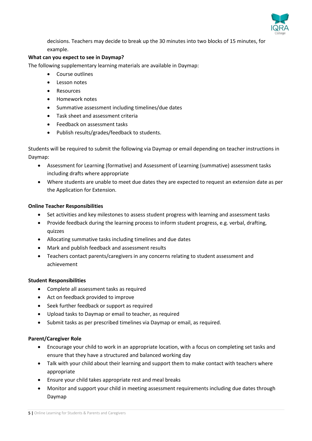

decisions. Teachers may decide to break up the 30 minutes into two blocks of 15 minutes, for example.

#### **What can you expect to see in Daymap?**

The following supplementary learning materials are available in Daymap:

- Course outlines
- Lesson notes
- Resources
- Homework notes
- Summative assessment including timelines/due dates
- Task sheet and assessment criteria
- Feedback on assessment tasks
- Publish results/grades/feedback to students.

Students will be required to submit the following via Daymap or email depending on teacher instructions in Daymap:

- Assessment for Learning (formative) and Assessment of Learning (summative) assessment tasks including drafts where appropriate
- Where students are unable to meet due dates they are expected to request an extension date as per the Application for Extension.

#### **Online Teacher Responsibilities**

- Set activities and key milestones to assess student progress with learning and assessment tasks
- Provide feedback during the learning process to inform student progress, e.g. verbal, drafting, quizzes
- Allocating summative tasks including timelines and due dates
- Mark and publish feedback and assessment results
- Teachers contact parents/caregivers in any concerns relating to student assessment and achievement

#### **Student Responsibilities**

- Complete all assessment tasks as required
- Act on feedback provided to improve
- Seek further feedback or support as required
- Upload tasks to Daymap or email to teacher, as required
- Submit tasks as per prescribed timelines via Daymap or email, as required.

#### **Parent/Caregiver Role**

- Encourage your child to work in an appropriate location, with a focus on completing set tasks and ensure that they have a structured and balanced working day
- Talk with your child about their learning and support them to make contact with teachers where appropriate
- Ensure your child takes appropriate rest and meal breaks
- Monitor and support your child in meeting assessment requirements including due dates through Daymap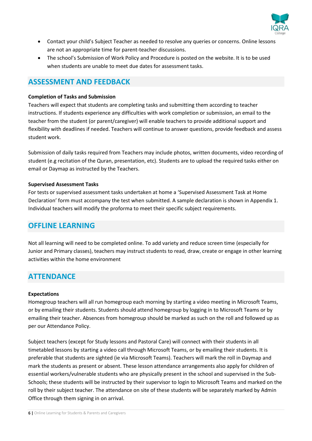

- Contact your child's Subject Teacher as needed to resolve any queries or concerns. Online lessons are not an appropriate time for parent-teacher discussions.
- The school's Submission of Work Policy and Procedure is posted on the website. It is to be used when students are unable to meet due dates for assessment tasks.

## <span id="page-5-0"></span>**ASSESSMENT AND FEEDBACK**

#### **Completion of Tasks and Submission**

Teachers will expect that students are completing tasks and submitting them according to teacher instructions. If students experience any difficulties with work completion or submission, an email to the teacher from the student (or parent/caregiver) will enable teachers to provide additional support and flexibility with deadlines if needed. Teachers will continue to answer questions, provide feedback and assess student work.

Submission of daily tasks required from Teachers may include photos, written documents, video recording of student (e.g recitation of the Quran, presentation, etc). Students are to upload the required tasks either on email or Daymap as instructed by the Teachers.

#### **Supervised Assessment Tasks**

For tests or supervised assessment tasks undertaken at home a 'Supervised Assessment Task at Home Declaration' form must accompany the test when submitted. A sample declaration is shown in Appendix 1. Individual teachers will modify the proforma to meet their specific subject requirements.

#### <span id="page-5-1"></span>**OFFLINE LEARNING**

Not all learning will need to be completed online. To add variety and reduce screen time (especially for Junior and Primary classes), teachers may instruct students to read, draw, create or engage in other learning activities within the home environment

## <span id="page-5-2"></span>**ATTENDANCE**

#### **Expectations**

Homegroup teachers will all run homegroup each morning by starting a video meeting in Microsoft Teams, or by emailing their students. Students should attend homegroup by logging in to Microsoft Teams or by emailing their teacher. Absences from homegroup should be marked as such on the roll and followed up as per our Attendance Policy.

Subject teachers (except for Study lessons and Pastoral Care) will connect with their students in all timetabled lessons by starting a video call through Microsoft Teams, or by emailing their students. It is preferable that students are sighted (ie via Microsoft Teams). Teachers will mark the roll in Daymap and mark the students as present or absent. These lesson attendance arrangements also apply for children of essential workers/vulnerable students who are physically present in the school and supervised in the Sub-Schools; these students will be instructed by their supervisor to login to Microsoft Teams and marked on the roll by their subject teacher. The attendance on site of these students will be separately marked by Admin Office through them signing in on arrival.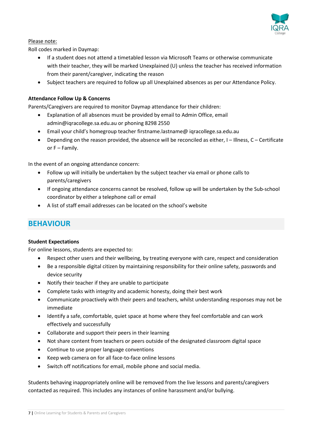

#### Please note:

Roll codes marked in Daymap:

- If a student does not attend a timetabled lesson via Microsoft Teams or otherwise communicate with their teacher, they will be marked Unexplained (U) unless the teacher has received information from their parent/caregiver, indicating the reason
- Subject teachers are required to follow up all Unexplained absences as per our Attendance Policy.

#### **Attendance Follow Up & Concerns**

Parents/Caregivers are required to monitor Daymap attendance for their children:

- Explanation of all absences must be provided by email to Admin Office, email admin@iqracollege.sa.edu.au or phoning 8298 2550
- Email your child's homegroup teacher firstname.lastname@ iqracollege.sa.edu.au
- Depending on the reason provided, the absence will be reconciled as either, I Illness, C Certificate or F – Family.

In the event of an ongoing attendance concern:

- Follow up will initially be undertaken by the subject teacher via email or phone calls to parents/caregivers
- If ongoing attendance concerns cannot be resolved, follow up will be undertaken by the Sub-school coordinator by either a telephone call or email
- A list of staff email addresses can be located on the school's website

## <span id="page-6-0"></span>**BEHAVIOUR**

#### **Student Expectations**

For online lessons, students are expected to:

- Respect other users and their wellbeing, by treating everyone with care, respect and consideration
- Be a responsible digital citizen by maintaining responsibility for their online safety, passwords and device security
- Notify their teacher if they are unable to participate
- Complete tasks with integrity and academic honesty, doing their best work
- Communicate proactively with their peers and teachers, whilst understanding responses may not be immediate
- Identify a safe, comfortable, quiet space at home where they feel comfortable and can work effectively and successfully
- Collaborate and support their peers in their learning
- Not share content from teachers or peers outside of the designated classroom digital space
- Continue to use proper language conventions
- Keep web camera on for all face-to-face online lessons
- Switch off notifications for email, mobile phone and social media.

Students behaving inappropriately online will be removed from the live lessons and parents/caregivers contacted as required. This includes any instances of online harassment and/or bullying.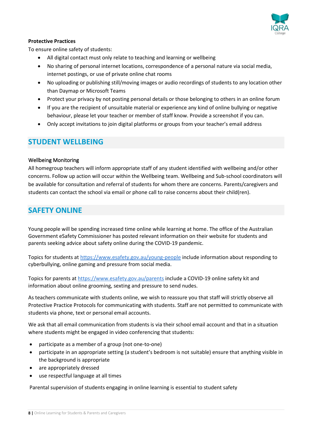

#### **Protective Practices**

To ensure online safety of students:

- All digital contact must only relate to teaching and learning or wellbeing
- No sharing of personal internet locations, correspondence of a personal nature via social media, internet postings, or use of private online chat rooms
- No uploading or publishing still/moving images or audio recordings of students to any location other than Daymap or Microsoft Teams
- Protect your privacy by not posting personal details or those belonging to others in an online forum
- If you are the recipient of unsuitable material or experience any kind of online bullying or negative behaviour, please let your teacher or member of staff know. Provide a screenshot if you can.
- Only accept invitations to join digital platforms or groups from your teacher's email address

## <span id="page-7-0"></span>**STUDENT WELLBEING**

#### Wellbeing Monitoring

All homegroup teachers will inform appropriate staff of any student identified with wellbeing and/or other concerns. Follow up action will occur within the Wellbeing team. Wellbeing and Sub-school coordinators will be available for consultation and referral of students for whom there are concerns. Parents/caregivers and students can contact the school via email or phone call to raise concerns about their child(ren).

## <span id="page-7-1"></span>**SAFETY ONLINE**

Young people will be spending increased time online while learning at home. The office of the Australian Government eSafety Commissioner has posted relevant information on their website for students and parents seeking advice about safety online during the COVID-19 pandemic.

Topics for students at<https://www.esafety.gov.au/young-people> include information about responding to cyberbullying, online gaming and pressure from social media.

Topics for parents at<https://www.esafety.gov.au/parents> include a COVID-19 online safety kit and information about online grooming, sexting and pressure to send nudes.

As teachers communicate with students online, we wish to reassure you that staff will strictly observe all Protective Practice Protocols for communicating with students. Staff are not permitted to communicate with students via phone, text or personal email accounts.

We ask that all email communication from students is via their school email account and that in a situation where students might be engaged in video conferencing that students:

- participate as a member of a group (not one-to-one)
- participate in an appropriate setting (a student's bedroom is not suitable) ensure that anything visible in the background is appropriate
- are appropriately dressed
- use respectful language at all times

Parental supervision of students engaging in online learning is essential to student safety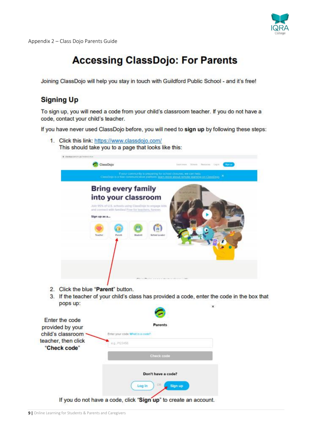

Appendix 2 – Class Dojo Parents Guide

## **Accessing ClassDojo: For Parents**

Joining ClassDojo will help you stay in touch with Guildford Public School - and it's free!

## **Signing Up**

To sign up, you will need a code from your child's classroom teacher. If you do not have a code, contact your child's teacher.

If you have never used ClassDojo before, you will need to sign up by following these steps:



1. Click this link: https://www.classdojo.com/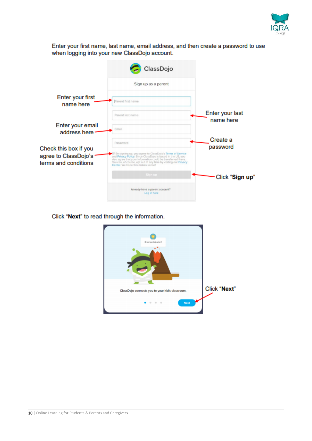

Enter your first name, last name, email address, and then create a password to use when logging into your new ClassDojo account.

| ClassDojo                                                                                                                                                                                                                                                                                       |                              |
|-------------------------------------------------------------------------------------------------------------------------------------------------------------------------------------------------------------------------------------------------------------------------------------------------|------------------------------|
| Sign up as a parent                                                                                                                                                                                                                                                                             |                              |
| Parent first name                                                                                                                                                                                                                                                                               |                              |
| Parent last name                                                                                                                                                                                                                                                                                | Enter your last<br>name here |
| Email                                                                                                                                                                                                                                                                                           |                              |
| Password                                                                                                                                                                                                                                                                                        | Create a<br>password         |
| By signing up, you agree to ClassDojo's Terms of Service<br>and Privacy Policy. Since ClassDojo is based in the US, you<br>also agree that your information could be transferred there.<br>You can, of course, opt out at any time by visiting our Privacy<br>Center. We hope this makes sense! |                              |
| Sign up                                                                                                                                                                                                                                                                                         | Click "Sign up"              |
| Already have a parent account?<br>Log in here                                                                                                                                                                                                                                                   |                              |
|                                                                                                                                                                                                                                                                                                 |                              |

Click "Next" to read through the information.

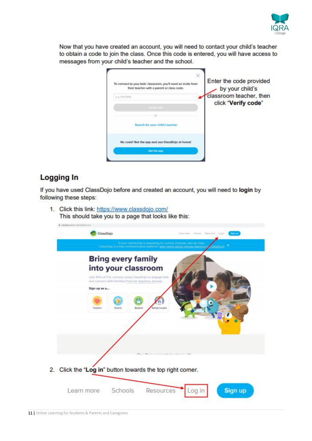

Now that you have created an account, you will need to contact your child's teacher to obtain a code to join the class. Once this code is entered, you will have access to messages from your child's teacher and the school.

| To connect to your kids' classroom, you'll need an invite from<br>their teacher with a parent or class code. | Enter the code provided<br>by your child's |
|--------------------------------------------------------------------------------------------------------------|--------------------------------------------|
| KG-PDENSO                                                                                                    | classroom teacher, then                    |
|                                                                                                              | click "Verify code"                        |
|                                                                                                              |                                            |
| Search for your child's teacher                                                                              |                                            |
| No code? Get the app and use ClassDojo at home!                                                              |                                            |
| <b>Get the app</b>                                                                                           |                                            |

## **Logging In**

If you have used ClassDojo before and created an account, you will need to login by following these steps:

1. Click this link: https://www.classdojo.com/ This should take you to a page that looks like this:

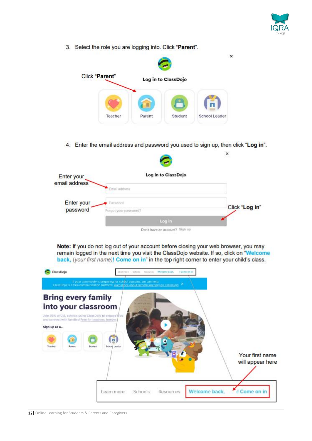

3. Select the role you are logging into. Click "Parent".



4. Enter the email address and password you used to sign up, then click "Log in".

|                             |                                     | ж              |
|-----------------------------|-------------------------------------|----------------|
| Enter your<br>email address | Log in to ClassDojo                 |                |
|                             | Email address                       |                |
| Enter your                  | Password                            | Click "Log in" |
| password                    | Forgot your password?               |                |
|                             | Log in                              |                |
|                             | On Old Cincinnation as asset that I |                |

Note: If you do not log out of your account before closing your web browser, you may remain logged in the next time you visit the ClassDojo website. If so, click on "Welcome back, (your first name)! Come on in" in the top right corner to enter your child's class.